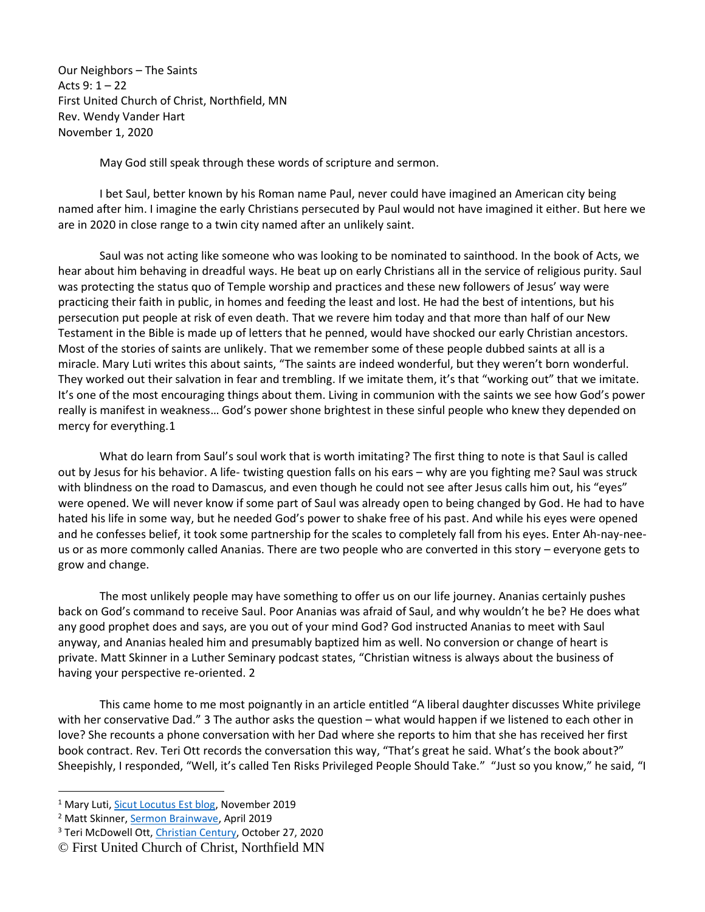Our Neighbors – The Saints Acts 9: 1 – 22 First United Church of Christ, Northfield, MN Rev. Wendy Vander Hart November 1, 2020

May God still speak through these words of scripture and sermon.

I bet Saul, better known by his Roman name Paul, never could have imagined an American city being named after him. I imagine the early Christians persecuted by Paul would not have imagined it either. But here we are in 2020 in close range to a twin city named after an unlikely saint.

Saul was not acting like someone who was looking to be nominated to sainthood. In the book of Acts, we hear about him behaving in dreadful ways. He beat up on early Christians all in the service of religious purity. Saul was protecting the status quo of Temple worship and practices and these new followers of Jesus' way were practicing their faith in public, in homes and feeding the least and lost. He had the best of intentions, but his persecution put people at risk of even death. That we revere him today and that more than half of our New Testament in the Bible is made up of letters that he penned, would have shocked our early Christian ancestors. Most of the stories of saints are unlikely. That we remember some of these people dubbed saints at all is a miracle. Mary Luti writes this about saints, "The saints are indeed wonderful, but they weren't born wonderful. They worked out their salvation in fear and trembling. If we imitate them, it's that "working out" that we imitate. It's one of the most encouraging things about them. Living in communion with the saints we see how God's power really is manifest in weakness… God's power shone brightest in these sinful people who knew they depended on mercy for everything.1

What do learn from Saul's soul work that is worth imitating? The first thing to note is that Saul is called out by Jesus for his behavior. A life- twisting question falls on his ears – why are you fighting me? Saul was struck with blindness on the road to Damascus, and even though he could not see after Jesus calls him out, his "eyes" were opened. We will never know if some part of Saul was already open to being changed by God. He had to have hated his life in some way, but he needed God's power to shake free of his past. And while his eyes were opened and he confesses belief, it took some partnership for the scales to completely fall from his eyes. Enter Ah-nay-neeus or as more commonly called Ananias. There are two people who are converted in this story – everyone gets to grow and change.

The most unlikely people may have something to offer us on our life journey. Ananias certainly pushes back on God's command to receive Saul. Poor Ananias was afraid of Saul, and why wouldn't he be? He does what any good prophet does and says, are you out of your mind God? God instructed Ananias to meet with Saul anyway, and Ananias healed him and presumably baptized him as well. No conversion or change of heart is private. Matt Skinner in a Luther Seminary podcast states, "Christian witness is always about the business of having your perspective re-oriented. 2

This came home to me most poignantly in an article entitled "A liberal daughter discusses White privilege with her conservative Dad." 3 The author asks the question – what would happen if we listened to each other in love? She recounts a phone conversation with her Dad where she reports to him that she has received her first book contract. Rev. Teri Ott records the conversation this way, "That's great he said. What's the book about?" Sheepishly, I responded, "Well, it's called Ten Risks Privileged People Should Take." "Just so you know," he said, "I

<sup>&</sup>lt;sup>1</sup> Mary Luti[, Sicut Locutus Est blog,](https://sicutlocutusest.com/category/saints/) November 2019

<sup>2</sup> Matt Skinner[, Sermon Brainwave,](https://www.workingpreacher.org/brainwave.aspx?podcast_id=1134) April 2019

<sup>&</sup>lt;sup>3</sup> Teri McDowell Ott, [Christian Century,](https://www.christiancentury.org/article/first-person/liberal-daughter-discusses-white-privilege-her-conservative-dad) October 27, 2020

<sup>©</sup> First United Church of Christ, Northfield MN